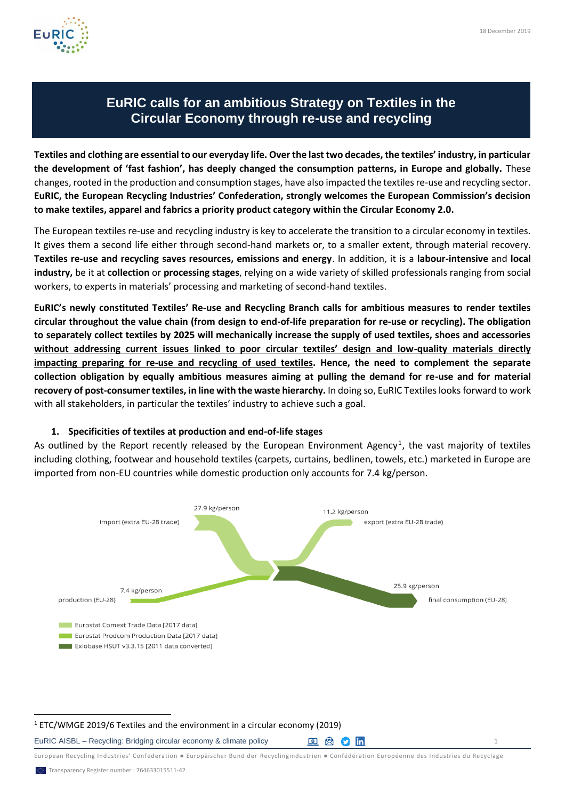

## **EuRIC calls for an ambitious Strategy on Textiles in the Circular Economy through re-use and recycling**

**Textiles and clothing are essential to our everyday life. Over the last two decades, the textiles' industry, in particular the development of 'fast fashion', has deeply changed the consumption patterns, in Europe and globally.** These changes, rooted in the production and consumption stages, have also impacted the textiles re-use and recycling sector. **EuRIC, the European Recycling Industries' Confederation, strongly welcomes the European Commission's decision to make textiles, apparel and fabrics a priority product category within the Circular Economy 2.0.** 

The European textiles re-use and recycling industry is key to accelerate the transition to a circular economy in textiles. It gives them a second life either through second-hand markets or, to a smaller extent, through material recovery. **Textiles re-use and recycling saves resources, emissions and energy**. In addition, it is a **labour-intensive** and **local industry,** be it at **collection** or **processing stages**, relying on a wide variety of skilled professionals ranging from social workers, to experts in materials' processing and marketing of second-hand textiles.

**EuRIC's newly constituted Textiles' Re-use and Recycling Branch calls for ambitious measures to render textiles circular throughout the value chain (from design to end-of-life preparation for re-use or recycling). The obligation to separately collect textiles by 2025 will mechanically increase the supply of used textiles, shoes and accessories without addressing current issues linked to poor circular textiles' design and low-quality materials directly impacting preparing for re-use and recycling of used textiles. Hence, the need to complement the separate collection obligation by equally ambitious measures aiming at pulling the demand for re-use and for material recovery of post-consumer textiles, in line with the waste hierarchy.** In doing so, EuRIC Textiles looks forward to work with all stakeholders, in particular the textiles' industry to achieve such a goal.

## **1. Specificities of textiles at production and end-of-life stages**

As outlined by the Report recently released by the European Environment Agency<sup>1</sup>, the vast majority of textiles including clothing, footwear and household textiles (carpets, curtains, bedlinen, towels, etc.) marketed in Europe are imported from non-EU countries while domestic production only accounts for 7.4 kg/person.



## <sup>1</sup> ETC/WMGE 2019/6 Textiles and the environment in a circular economy (2019)

EuRIC AISBL – Recycling: Bridging circular economy & climate policy  $\Box$  (a) (a)  $\Box$  1

European Recycling Industries' Confederation ● Europäischer Bund der Recyclingindustrien ● Confédération Européenne des Industries du Recyclage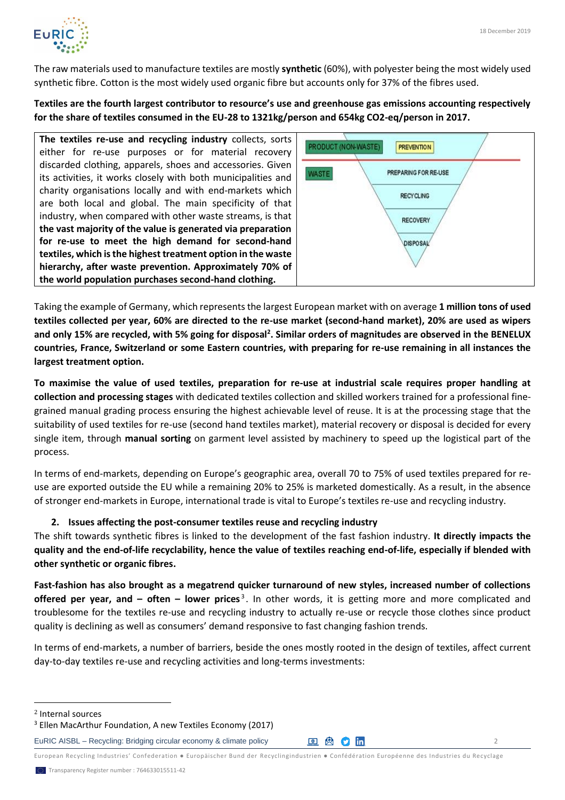

The raw materials used to manufacture textiles are mostly **synthetic** (60%), with polyester being the most widely used synthetic fibre. Cotton is the most widely used organic fibre but accounts only for 37% of the fibres used.

**Textiles are the fourth largest contributor to resource's use and greenhouse gas emissions accounting respectively for the share of textiles consumed in the EU-28 to 1321kg/person and 654kg CO2-eq/person in 2017.**

**The textiles re-use and recycling industry** collects, sorts either for re-use purposes or for material recovery discarded clothing, apparels, shoes and accessories. Given its activities, it works closely with both municipalities and charity organisations locally and with end-markets which are both local and global. The main specificity of that industry, when compared with other waste streams, is that **the vast majority of the value is generated via preparation for re-use to meet the high demand for second-hand textiles, which is the highest treatment option in the waste hierarchy, after waste prevention. Approximately 70% of the world population purchases second-hand clothing.** 



Taking the example of Germany, which represents the largest European market with on average **1 million tons of used textiles collected per year, 60% are directed to the re-use market (second-hand market), 20% are used as wipers and only 15% are recycled, with 5% going for disposal<sup>2</sup> . Similar orders of magnitudes are observed in the BENELUX countries, France, Switzerland or some Eastern countries, with preparing for re-use remaining in all instances the largest treatment option.** 

**To maximise the value of used textiles, preparation for re-use at industrial scale requires proper handling at collection and processing stages** with dedicated textiles collection and skilled workers trained for a professional finegrained manual grading process ensuring the highest achievable level of reuse. It is at the processing stage that the suitability of used textiles for re-use (second hand textiles market), material recovery or disposal is decided for every single item, through **manual sorting** on garment level assisted by machinery to speed up the logistical part of the process.

In terms of end-markets, depending on Europe's geographic area, overall 70 to 75% of used textiles prepared for reuse are exported outside the EU while a remaining 20% to 25% is marketed domestically. As a result, in the absence of stronger end-markets in Europe, international trade is vital to Europe's textiles re-use and recycling industry.

## **2. Issues affecting the post-consumer textiles reuse and recycling industry**

The shift towards synthetic fibres is linked to the development of the fast fashion industry. **It directly impacts the quality and the end-of-life recyclability, hence the value of textiles reaching end-of-life, especially if blended with other synthetic or organic fibres.** 

**Fast-fashion has also brought as a megatrend quicker turnaround of new styles, increased number of collections offered per year, and – often – lower prices<sup>3</sup>. In other words, it is getting more and more complicated and** troublesome for the textiles re-use and recycling industry to actually re-use or recycle those clothes since product quality is declining as well as consumers' demand responsive to fast changing fashion trends.

In terms of end-markets, a number of barriers, beside the ones mostly rooted in the design of textiles, affect current day-to-day textiles re-use and recycling activities and long-terms investments:

European Recycling Industries' Confederation ● Europäischer Bund der Recyclingindustrien ● Confédération Européenne des Industries du Recyclage

<sup>2</sup> Internal sources

<sup>3</sup> Ellen MacArthur Foundation, A new Textiles Economy (2017)

EuRIC AISBL – Recycling: Bridging circular economy & climate policy  $\Box$  (a) (a)  $\Box$  (b)  $\Box$